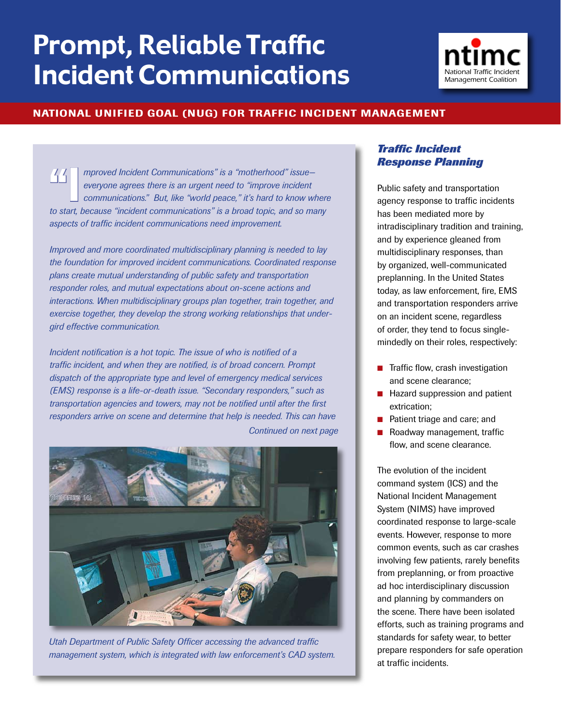# Prompt, Reliable Traffic **Incident Communications**



#### National Unified Goal (NUG) for Traffic Incident Management

mproved Incident Communications" is a "motherhood" issue—<br>everyone agrees there is an urgent need to "improve incident<br>communications." But, like "world peace," it's hard to know where *everyone agrees there is an urgent need to "improve incident to start, perpoved Incident Communications" is a "motherhood" issue-*<br>everyone agrees there is an urgent need to "improve incident<br>communications." But, like "world peace," it's hard to know where<br>to start, because "incid *aspects of traffic incident communications need improvement.* 

*Improved and more coordinated multidisciplinary planning is needed to lay the foundation for improved incident communications. Coordinated response plans create mutual understanding of public safety and transportation responder roles, and mutual expectations about on-scene actions and interactions. When multidisciplinary groups plan together, train together, and exercise together, they develop the strong working relationships that undergird effective communication.* 

*Incident notification is a hot topic. The issue of who is notified of a traffic incident, and when they are notified, is of broad concern. Prompt dispatch of the appropriate type and level of emergency medical services (EMS) response is a life-or-death issue. "Secondary responders," such as transportation agencies and towers, may not be notified until after the first responders arrive on scene and determine that help is needed. This can have Continued on next page*



*Utah Department of Public Safety Officer accessing the advanced traffic management system, which is integrated with law enforcement's CAD system.*

#### *Traffic Incident Response Planning*

Public safety and transportation agency response to traffic incidents has been mediated more by intradisciplinary tradition and training, and by experience gleaned from multidisciplinary responses, than by organized, well-communicated preplanning. In the United States today, as law enforcement, fire, EMS and transportation responders arrive on an incident scene, regardless of order, they tend to focus singlemindedly on their roles, respectively:

- $\blacksquare$  Traffic flow, crash investigation and scene clearance;
- **n** Hazard suppression and patient extrication;
- **n** Patient triage and care; and
- Roadway management, traffic flow, and scene clearance.

The evolution of the incident command system (ICS) and the National Incident Management System (NIMS) have improved coordinated response to large-scale events. However, response to more common events, such as car crashes involving few patients, rarely benefits from preplanning, or from proactive ad hoc interdisciplinary discussion and planning by commanders on the scene. There have been isolated efforts, such as training programs and standards for safety wear, to better prepare responders for safe operation at traffic incidents.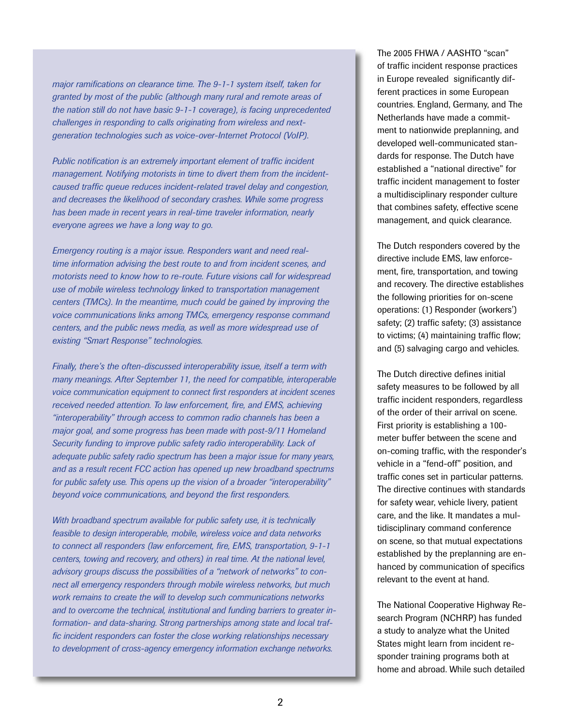*major ramifications on clearance time. The 9-1-1 system itself, taken for granted by most of the public (although many rural and remote areas of the nation still do not have basic 9-1-1 coverage), is facing unprecedented challenges in responding to calls originating from wireless and nextgeneration technologies such as voice-over-Internet Protocol (VoIP).* 

*Public notification is an extremely important element of traffic incident management. Notifying motorists in time to divert them from the incidentcaused traffic queue reduces incident-related travel delay and congestion, and decreases the likelihood of secondary crashes. While some progress has been made in recent years in real-time traveler information, nearly everyone agrees we have a long way to go.* 

*Emergency routing is a major issue. Responders want and need realtime information advising the best route to and from incident scenes, and motorists need to know how to re-route. Future visions call for widespread use of mobile wireless technology linked to transportation management centers (TMCs). In the meantime, much could be gained by improving the voice communications links among TMCs, emergency response command centers, and the public news media, as well as more widespread use of existing "Smart Response" technologies.* 

*Finally, there's the often-discussed interoperability issue, itself a term with many meanings. After September 11, the need for compatible, interoperable voice communication equipment to connect first responders at incident scenes received needed attention. To law enforcement, fire, and EMS, achieving "interoperability" through access to common radio channels has been a major goal, and some progress has been made with post-9/11 Homeland Security funding to improve public safety radio interoperability. Lack of adequate public safety radio spectrum has been a major issue for many years, and as a result recent FCC action has opened up new broadband spectrums for public safety use. This opens up the vision of a broader "interoperability" beyond voice communications, and beyond the first responders.*

*With broadband spectrum available for public safety use, it is technically feasible to design interoperable, mobile, wireless voice and data networks to connect all responders (law enforcement, fire, EMS, transportation, 9-1-1 centers, towing and recovery, and others) in real time. At the national level, advisory groups discuss the possibilities of a "network of networks" to connect all emergency responders through mobile wireless networks, but much work remains to create the will to develop such communications networks and to overcome the technical, institutional and funding barriers to greater information- and data-sharing. Strong partnerships among state and local traffic incident responders can foster the close working relationships necessary to development of cross-agency emergency information exchange networks.*

The 2005 FHWA / AASHTO "scan" of traffic incident response practices in Europe revealed significantly different practices in some European countries. England, Germany, and The Netherlands have made a commitment to nationwide preplanning, and developed well-communicated standards for response. The Dutch have established a "national directive" for traffic incident management to foster a multidisciplinary responder culture that combines safety, effective scene management, and quick clearance.

The Dutch responders covered by the directive include EMS, law enforcement, fire, transportation, and towing and recovery. The directive establishes the following priorities for on-scene operations: (1) Responder (workers') safety; (2) traffic safety; (3) assistance to victims; (4) maintaining traffic flow; and (5) salvaging cargo and vehicles.

The Dutch directive defines initial safety measures to be followed by all traffic incident responders, regardless of the order of their arrival on scene. First priority is establishing a 100 meter buffer between the scene and on-coming traffic, with the responder's vehicle in a "fend-off" position, and traffic cones set in particular patterns. The directive continues with standards for safety wear, vehicle livery, patient care, and the like. It mandates a multidisciplinary command conference on scene, so that mutual expectations established by the preplanning are enhanced by communication of specifics relevant to the event at hand.

The National Cooperative Highway Research Program (NCHRP) has funded a study to analyze what the United States might learn from incident responder training programs both at home and abroad. While such detailed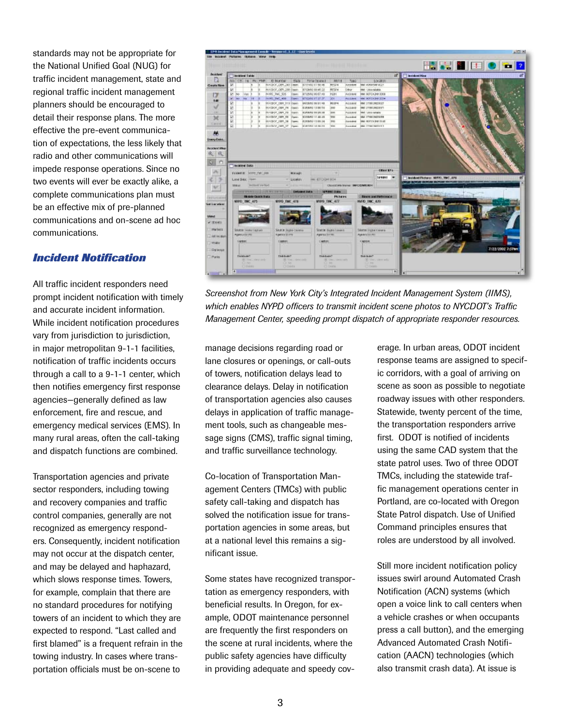standards may not be appropriate for the National Unified Goal (NUG) for traffic incident management, state and regional traffic incident management planners should be encouraged to detail their response plans. The more effective the pre-event communication of expectations, the less likely that radio and other communications will impede response operations. Since no two events will ever be exactly alike, a complete communications plan must be an effective mix of pre-planned communications and on-scene ad hoc communications.

#### *Incident Notification*

All traffic incident responders need prompt incident notification with timely and accurate incident information. While incident notification procedures vary from jurisdiction to jurisdiction, in major metropolitan 9-1-1 facilities, notification of traffic incidents occurs through a call to a 9-1-1 center, which then notifies emergency first response agencies—generally defined as law enforcement, fire and rescue, and emergency medical services (EMS). In many rural areas, often the call-taking and dispatch functions are combined.

Transportation agencies and private sector responders, including towing and recovery companies and traffic control companies, generally are not recognized as emergency responders. Consequently, incident notification may not occur at the dispatch center, and may be delayed and haphazard, which slows response times. Towers, for example, complain that there are no standard procedures for notifying towers of an incident to which they are expected to respond. "Last called and first blamed" is a frequent refrain in the towing industry. In cases where transportation officials must be on-scene to



*Screenshot from New York City's Integrated Incident Management System (IIMS), which enables NYPD officers to transmit incident scene photos to NYCDOT's Traffic Management Center, speeding prompt dispatch of appropriate responder resources.*

manage decisions regarding road or lane closures or openings, or call-outs of towers, notification delays lead to clearance delays. Delay in notification of transportation agencies also causes delays in application of traffic management tools, such as changeable message signs (CMS), traffic signal timing, and traffic surveillance technology.

Co-location of Transportation Management Centers (TMCs) with public safety call-taking and dispatch has solved the notification issue for transportation agencies in some areas, but at a national level this remains a significant issue.

Some states have recognized transportation as emergency responders, with beneficial results. In Oregon, for example, ODOT maintenance personnel are frequently the first responders on the scene at rural incidents, where the public safety agencies have difficulty in providing adequate and speedy coverage. In urban areas, ODOT incident response teams are assigned to specific corridors, with a goal of arriving on scene as soon as possible to negotiate roadway issues with other responders. Statewide, twenty percent of the time, the transportation responders arrive first. ODOT is notified of incidents using the same CAD system that the state patrol uses. Two of three ODOT TMCs, including the statewide traffic management operations center in Portland, are co-located with Oregon State Patrol dispatch. Use of Unified Command principles ensures that roles are understood by all involved.

Still more incident notification policy issues swirl around Automated Crash Notification (ACN) systems (which open a voice link to call centers when a vehicle crashes or when occupants press a call button), and the emerging Advanced Automated Crash Notification (AACN) technologies (which also transmit crash data). At issue is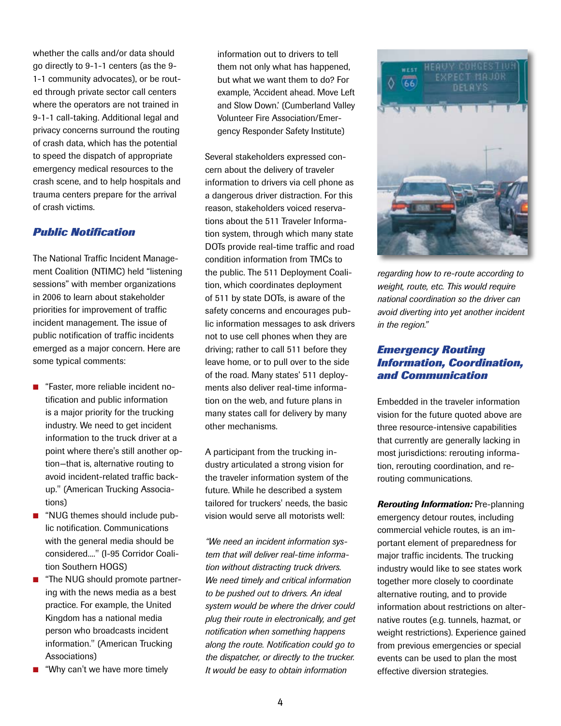whether the calls and/or data should go directly to 9-1-1 centers (as the 9- 1-1 community advocates), or be routed through private sector call centers where the operators are not trained in 9-1-1 call-taking. Additional legal and privacy concerns surround the routing of crash data, which has the potential to speed the dispatch of appropriate emergency medical resources to the crash scene, and to help hospitals and trauma centers prepare for the arrival of crash victims.

#### *Public Notification*

The National Traffic Incident Management Coalition (NTIMC) held "listening sessions" with member organizations in 2006 to learn about stakeholder priorities for improvement of traffic incident management. The issue of public notification of traffic incidents emerged as a major concern. Here are some typical comments:

- "Faster, more reliable incident notification and public information is a major priority for the trucking industry. We need to get incident information to the truck driver at a point where there's still another option—that is, alternative routing to avoid incident-related traffic backup." (American Trucking Associations)
- "NUG themes should include public notification. Communications with the general media should be considered...." (I-95 Corridor Coalition Southern HOGS)
- "The NUG should promote partnering with the news media as a best practice. For example, the United Kingdom has a national media person who broadcasts incident information." (American Trucking Associations)
- "Why can't we have more timely

information out to drivers to tell them not only what has happened, but what we want them to do? For example, 'Accident ahead. Move Left and Slow Down.' (Cumberland Valley Volunteer Fire Association/Emergency Responder Safety Institute)

Several stakeholders expressed concern about the delivery of traveler information to drivers via cell phone as a dangerous driver distraction. For this reason, stakeholders voiced reservations about the 511 Traveler Information system, through which many state DOTs provide real-time traffic and road condition information from TMCs to the public. The 511 Deployment Coalition, which coordinates deployment of 511 by state DOTs, is aware of the safety concerns and encourages public information messages to ask drivers not to use cell phones when they are driving; rather to call 511 before they leave home, or to pull over to the side of the road. Many states' 511 deployments also deliver real-time information on the web, and future plans in many states call for delivery by many other mechanisms.

A participant from the trucking industry articulated a strong vision for the traveler information system of the future. While he described a system tailored for truckers' needs, the basic vision would serve all motorists well:

*"We need an incident information system that will deliver real-time information without distracting truck drivers. We need timely and critical information to be pushed out to drivers. An ideal system would be where the driver could plug their route in electronically, and get notification when something happens along the route. Notification could go to the dispatcher, or directly to the trucker. It would be easy to obtain information* 



*regarding how to re-route according to weight, route, etc. This would require national coordination so the driver can avoid diverting into yet another incident in the region."*

### *Emergency Routing Information, Coordination, and Communication*

Embedded in the traveler information vision for the future quoted above are three resource-intensive capabilities that currently are generally lacking in most jurisdictions: rerouting information, rerouting coordination, and rerouting communications.

*Rerouting Information:* Pre-planning emergency detour routes, including commercial vehicle routes, is an important element of preparedness for major traffic incidents. The trucking industry would like to see states work together more closely to coordinate alternative routing, and to provide information about restrictions on alternative routes (e.g. tunnels, hazmat, or weight restrictions). Experience gained from previous emergencies or special events can be used to plan the most effective diversion strategies.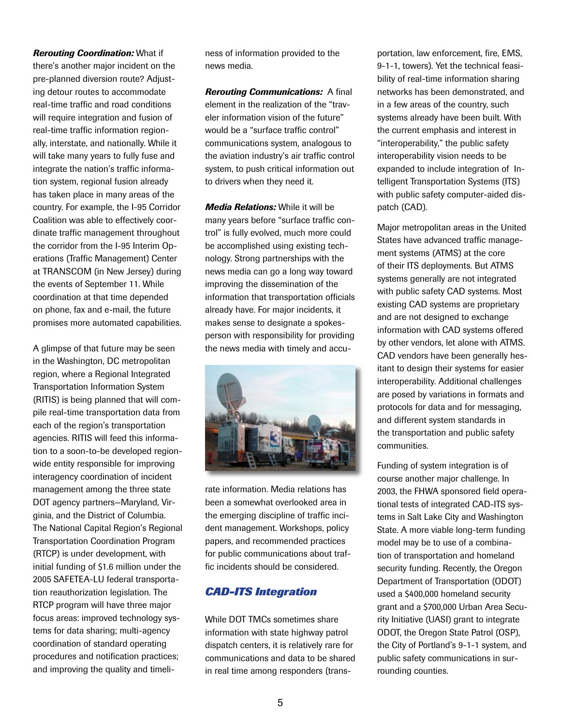## *Rerouting Coordination:* What if there's another major incident on the pre-planned diversion route? Adjusting detour routes to accommodate real-time traffic and road conditions will require integration and fusion of real-time traffic information regionally, interstate, and nationally. While it will take many years to fully fuse and integrate the nation's traffic information system, regional fusion already has taken place in many areas of the country. For example, the I-95 Corridor Coalition was able to effectively coordinate traffic management throughout the corridor from the I-95 Interim Operations (Traffic Management) Center at TRANSCOM (in New Jersey) during the events of September 11. While coordination at that time depended on phone, fax and e-mail, the future promises more automated capabilities.

A glimpse of that future may be seen in the Washington, DC metropolitan region, where a Regional Integrated Transportation Information System (RITIS) is being planned that will compile real-time transportation data from each of the region's transportation agencies. RITIS will feed this information to a soon-to-be developed regionwide entity responsible for improving interagency coordination of incident management among the three state DOT agency partners—Maryland, Virginia, and the District of Columbia. The National Capital Region's Regional Transportation Coordination Program (RTCP) is under development, with initial funding of \$1.6 million under the 2005 SAFETEA-LU federal transportation reauthorization legislation. The RTCP program will have three major focus areas: improved technology systems for data sharing; multi-agency coordination of standard operating procedures and notification practices; and improving the quality and timeliness of information provided to the news media.

*Rerouting Communications:* A final element in the realization of the "traveler information vision of the future" would be a "surface traffic control" communications system, analogous to the aviation industry's air traffic control system, to push critical information out to drivers when they need it.

*Media Relations:* While it will be many years before "surface traffic control" is fully evolved, much more could be accomplished using existing technology. Strong partnerships with the news media can go a long way toward improving the dissemination of the information that transportation officials already have. For major incidents, it makes sense to designate a spokesperson with responsibility for providing the news media with timely and accu-



rate information. Media relations has been a somewhat overlooked area in the emerging discipline of traffic incident management. Workshops, policy papers, and recommended practices for public communications about traffic incidents should be considered.

## *CAD-ITS Integration*

While DOT TMCs sometimes share information with state highway patrol dispatch centers, it is relatively rare for communications and data to be shared in real time among responders (transportation, law enforcement, fire, EMS, 9-1-1, towers). Yet the technical feasibility of real-time information sharing networks has been demonstrated, and in a few areas of the country, such systems already have been built. With the current emphasis and interest in "interoperability," the public safety interoperability vision needs to be expanded to include integration of Intelligent Transportation Systems (ITS) with public safety computer-aided dispatch (CAD).

Major metropolitan areas in the United States have advanced traffic management systems (ATMS) at the core of their ITS deployments. But ATMS systems generally are not integrated with public safety CAD systems. Most existing CAD systems are proprietary and are not designed to exchange information with CAD systems offered by other vendors, let alone with ATMS. CAD vendors have been generally hesitant to design their systems for easier interoperability. Additional challenges are posed by variations in formats and protocols for data and for messaging, and different system standards in the transportation and public safety communities.

Funding of system integration is of course another major challenge. In 2003, the FHWA sponsored field operational tests of integrated CAD-ITS systems in Salt Lake City and Washington State. A more viable long-term funding model may be to use of a combination of transportation and homeland security funding. Recently, the Oregon Department of Transportation (ODOT) used a \$400,000 homeland security grant and a \$700,000 Urban Area Security Initiative (UASI) grant to integrate ODOT, the Oregon State Patrol (OSP), the City of Portland's 9-1-1 system, and public safety communications in surrounding counties.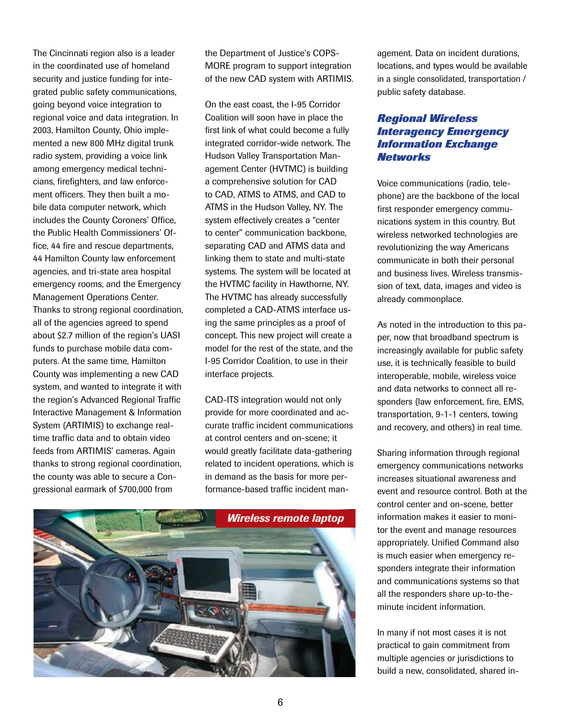The Cincinnati region also is a leader in the coordinated use of homeland security and justice funding for integrated public safety communications, going beyond voice integration to regional voice and data integration. In 2003, Hamilton County, Ohio implemented a new 800 MHz digital trunk radio system, providing a voice link among emergency medical technicians, firefighters, and law enforcement officers. They then built a mobile data computer network, which includes the County Coroners' Office, the Public Health Commissioners' Office, 44 fire and rescue departments, 44 Hamilton County law enforcement agencies, and tri-state area hospital emergency rooms, and the Emergency Management Operations Center. Thanks to strong regional coordination, all of the agencies agreed to spend about \$2.7 million of the region's UASI funds to purchase mobile data computers. At the same time, Hamilton County was implementing a new CAD system, and wanted to integrate it with the region's Advanced Regional Traffic Interactive Management & Information System (ARTIMIS) to exchange realtime traffic data and to obtain video feeds from ARTIMIS' cameras. Again thanks to strong regional coordination, the county was able to secure a Congressional earmark of \$700,000 from

the Department of Justice's COPS-MORE program to support integration of the new CAD system with ARTIMIS.

On the east coast, the I-95 Corridor Coalition will soon have in place the first link of what could become a fully integrated corridor-wide network. The Hudson Valley Transportation Management Center (HVTMC) is building a comprehensive solution for CAD to CAD, ATMS to ATMS, and CAD to ATMS in the Hudson Valley, NY. The system effectively creates a "center to center" communication backbone, separating CAD and ATMS data and linking them to state and multi-state systems. The system will be located at the HVTMC facility in Hawthorne, NY. The HVTMC has already successfully completed a CAD-ATMS interface using the same principles as a proof of concept. This new project will create a model for the rest of the state, and the I-95 Corridor Coalition, to use in their interface projects.

CAD-ITS integration would not only provide for more coordinated and accurate traffic incident communications at control centers and on-scene; it would greatly facilitate data-gathering related to incident operations, which is in demand as the basis for more performance-based traffic incident man-



agement. Data on incident durations, locations, and types would be available in a single consolidated, transportation / public safety database.

## *Regional Wireless Interagency Emergency Information Exchange Networks*

Voice communications (radio, telephone) are the backbone of the local first responder emergency communications system in this country. But wireless networked technologies are revolutionizing the way Americans communicate in both their personal and business lives. Wireless transmission of text, data, images and video is already commonplace.

As noted in the introduction to this paper, now that broadband spectrum is increasingly available for public safety use, it is technically feasible to build interoperable, mobile, wireless voice and data networks to connect all responders (law enforcement, fire, EMS, transportation, 9-1-1 centers, towing and recovery, and others) in real time.

Sharing information through regional emergency communications networks increases situational awareness and event and resource control. Both at the control center and on-scene, better information makes it easier to monitor the event and manage resources appropriately. Unified Command also is much easier when emergency responders integrate their information and communications systems so that all the responders share up-to-theminute incident information.

In many if not most cases it is not practical to gain commitment from multiple agencies or jurisdictions to build a new, consolidated, shared in-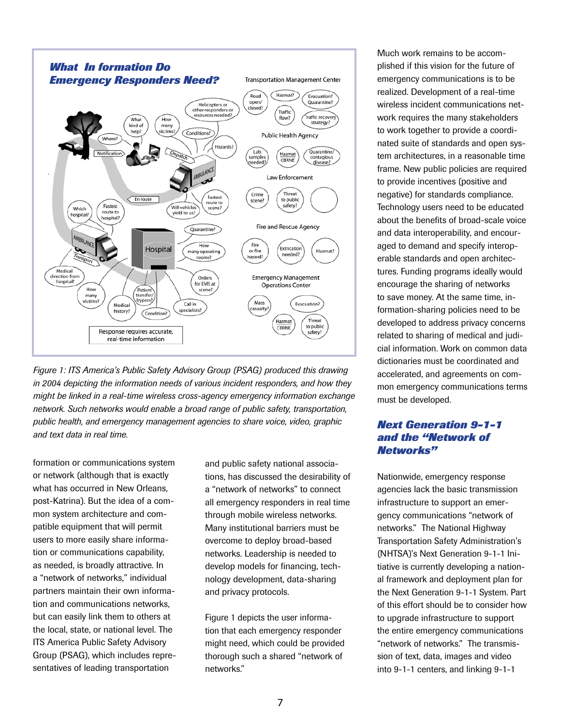

*Figure 1: ITS America's Public Safety Advisory Group (PSAG) produced this drawing in 2004 depicting the information needs of various incident responders, and how they might be linked in a real-time wireless cross-agency emergency information exchange network. Such networks would enable a broad range of public safety, transportation, public health, and emergency management agencies to share voice, video, graphic and text data in real time.*

formation or communications system or network (although that is exactly what has occurred in New Orleans, post-Katrina). But the idea of a common system architecture and compatible equipment that will permit users to more easily share information or communications capability, as needed, is broadly attractive. In a "network of networks," individual partners maintain their own information and communications networks, but can easily link them to others at the local, state, or national level. The ITS America Public Safety Advisory Group (PSAG), which includes representatives of leading transportation

and public safety national associations, has discussed the desirability of a "network of networks" to connect all emergency responders in real time through mobile wireless networks. Many institutional barriers must be overcome to deploy broad-based networks. Leadership is needed to develop models for financing, technology development, data-sharing and privacy protocols.

Figure 1 depicts the user information that each emergency responder might need, which could be provided thorough such a shared "network of networks."

Much work remains to be accomplished if this vision for the future of emergency communications is to be realized. Development of a real-time wireless incident communications network requires the many stakeholders to work together to provide a coordinated suite of standards and open system architectures, in a reasonable time frame. New public policies are required to provide incentives (positive and negative) for standards compliance. Technology users need to be educated about the benefits of broad-scale voice and data interoperability, and encouraged to demand and specify interoperable standards and open architectures. Funding programs ideally would encourage the sharing of networks to save money. At the same time, information-sharing policies need to be developed to address privacy concerns related to sharing of medical and judicial information. Work on common data dictionaries must be coordinated and accelerated, and agreements on common emergency communications terms must be developed.

## *Next Generation 9-1-1 and the "Network of Networks"*

Nationwide, emergency response agencies lack the basic transmission infrastructure to support an emergency communications "network of networks." The National Highway Transportation Safety Administration's (NHTSA)'s Next Generation 9-1-1 Initiative is currently developing a national framework and deployment plan for the Next Generation 9-1-1 System. Part of this effort should be to consider how to upgrade infrastructure to support the entire emergency communications "network of networks." The transmission of text, data, images and video into 9-1-1 centers, and linking 9-1-1